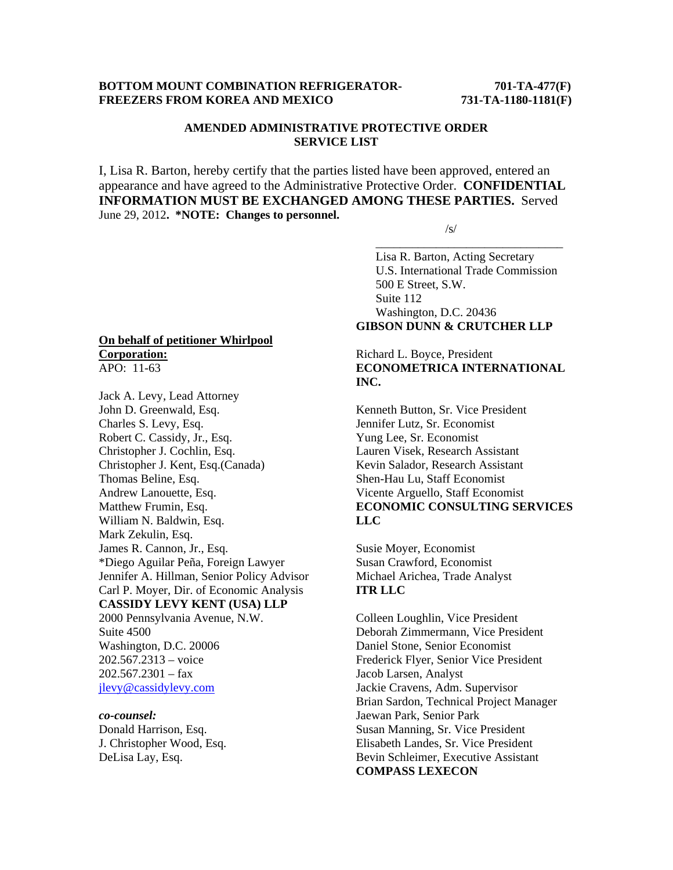## **BOTTOM MOUNT COMBINATION REFRIGERATOR-** 701-TA-477(F) **FREEZERS FROM KOREA AND MEXICO 731-TA-1180-1181(F)**

# **AMENDED ADMINISTRATIVE PROTECTIVE ORDER SERVICE LIST**

I, Lisa R. Barton, hereby certify that the parties listed have been approved, entered an appearance and have agreed to the Administrative Protective Order. **CONFIDENTIAL INFORMATION MUST BE EXCHANGED AMONG THESE PARTIES.** Served June 29, 2012**. \*NOTE: Changes to personnel.** 

 $\overline{\phantom{a}}$  , and the contract of the contract of the contract of the contract of the contract of the contract of the contract of the contract of the contract of the contract of the contract of the contract of the contrac

 $\sqrt{s}$ /s/

 Lisa R. Barton, Acting Secretary U.S. International Trade Commission 500 E Street, S.W. Suite 112 Washington, D.C. 20436 **GIBSON DUNN & CRUTCHER LLP** 

### Richard L. Boyce, President **ECONOMETRICA INTERNATIONAL INC.**

Kenneth Button, Sr. Vice President Jennifer Lutz, Sr. Economist Yung Lee, Sr. Economist Lauren Visek, Research Assistant Kevin Salador, Research Assistant Shen-Hau Lu, Staff Economist Vicente Arguello, Staff Economist **ECONOMIC CONSULTING SERVICES LLC** 

Susie Moyer, Economist Susan Crawford, Economist Michael Arichea, Trade Analyst **ITR LLC** 

Colleen Loughlin, Vice President Deborah Zimmermann, Vice President Daniel Stone, Senior Economist Frederick Flyer, Senior Vice President Jacob Larsen, Analyst Jackie Cravens, Adm. Supervisor Brian Sardon, Technical Project Manager Jaewan Park, Senior Park Susan Manning, Sr. Vice President Elisabeth Landes, Sr. Vice President Bevin Schleimer, Executive Assistant **COMPASS LEXECON** 

#### **On behalf of petitioner Whirlpool Corporation:** APO: 11-63

Jack A. Levy, Lead Attorney John D. Greenwald, Esq. Charles S. Levy, Esq. Robert C. Cassidy, Jr., Esq. Christopher J. Cochlin, Esq. Christopher J. Kent, Esq.(Canada) Thomas Beline, Esq. Andrew Lanouette, Esq. Matthew Frumin, Esq. William N. Baldwin, Esq. Mark Zekulin, Esq. James R. Cannon, Jr., Esq. \*Diego Aguilar Peña, Foreign Lawyer Jennifer A. Hillman, Senior Policy Advisor Carl P. Moyer, Dir. of Economic Analysis **CASSIDY LEVY KENT (USA) LLP**  2000 Pennsylvania Avenue, N.W. Suite 4500 Washington, D.C. 20006 202.567.2313 – voice  $202.567.2301 - fax$ jlevy@cassidylevy.com

*co-counsel:*  Donald Harrison, Esq. J. Christopher Wood, Esq. DeLisa Lay, Esq.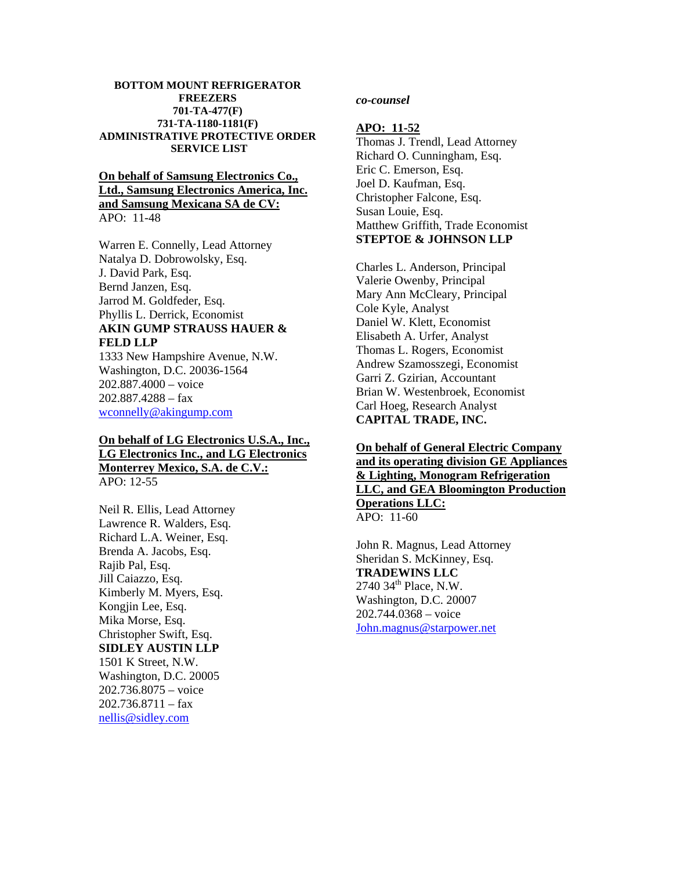#### **BOTTOM MOUNT REFRIGERATOR FREEZERS 701-TA-477(F) 731-TA-1180-1181(F) ADMINISTRATIVE PROTECTIVE ORDER SERVICE LIST**

# **On behalf of Samsung Electronics Co., Ltd., Samsung Electronics America, Inc. and Samsung Mexicana SA de CV:** APO: 11-48

Warren E. Connelly, Lead Attorney Natalya D. Dobrowolsky, Esq. J. David Park, Esq. Bernd Janzen, Esq. Jarrod M. Goldfeder, Esq. Phyllis L. Derrick, Economist **AKIN GUMP STRAUSS HAUER & FELD LLP**

1333 New Hampshire Avenue, N.W. Washington, D.C. 20036-1564 202.887.4000 – voice 202.887.4288 – fax wconnelly@akingump.com

### **On behalf of LG Electronics U.S.A., Inc., LG Electronics Inc., and LG Electronics Monterrey Mexico, S.A. de C.V.:** APO: 12-55

Neil R. Ellis, Lead Attorney Lawrence R. Walders, Esq. Richard L.A. Weiner, Esq. Brenda A. Jacobs, Esq. Rajib Pal, Esq. Jill Caiazzo, Esq. Kimberly M. Myers, Esq. Kongjin Lee, Esq. Mika Morse, Esq. Christopher Swift, Esq. **SIDLEY AUSTIN LLP** 1501 K Street, N.W. Washington, D.C. 20005 202.736.8075 – voice  $202.736.8711 - fax$ nellis@sidley.com

## *co-counsel*

### **APO: 11-52**

Thomas J. Trendl, Lead Attorney Richard O. Cunningham, Esq. Eric C. Emerson, Esq. Joel D. Kaufman, Esq. Christopher Falcone, Esq. Susan Louie, Esq. Matthew Griffith, Trade Economist **STEPTOE & JOHNSON LLP**

Charles L. Anderson, Principal Valerie Owenby, Principal Mary Ann McCleary, Principal Cole Kyle, Analyst Daniel W. Klett, Economist Elisabeth A. Urfer, Analyst Thomas L. Rogers, Economist Andrew Szamosszegi, Economist Garri Z. Gzirian, Accountant Brian W. Westenbroek, Economist Carl Hoeg, Research Analyst **CAPITAL TRADE, INC.** 

**On behalf of General Electric Company and its operating division GE Appliances & Lighting, Monogram Refrigeration LLC, and GEA Bloomington Production Operations LLC:**   $APO: 11-60$ 

John R. Magnus, Lead Attorney Sheridan S. McKinney, Esq. **TRADEWINS LLC**  $2740$   $34<sup>th</sup>$  Place, N.W. Washington, D.C. 20007 202.744.0368 – voice John.magnus@starpower.net